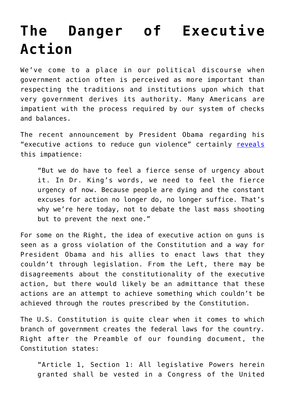## **[The Danger of Executive](https://intellectualtakeout.org/2016/01/the-danger-of-executive-action/) [Action](https://intellectualtakeout.org/2016/01/the-danger-of-executive-action/)**

We've come to a place in our political discourse when government action often is perceived as more important than respecting the traditions and institutions upon which that very government derives its authority. Many Americans are impatient with the process required by our system of checks and balances.

The recent announcement by President Obama regarding his "executive actions to reduce gun violence" certainly [reveals](http://www.politico.com/story/2016/01/obama-gun-restrictions-217354#ixzz3wOjV1xmw) this impatience:

"But we do have to feel a fierce sense of urgency about it. In Dr. King's words, we need to feel the fierce urgency of now. Because people are dying and the constant excuses for action no longer do, no longer suffice. That's why we're here today, not to debate the last mass shooting but to prevent the next one."

For some on the Right, the idea of executive action on guns is seen as a gross violation of the Constitution and a way for President Obama and his allies to enact laws that they couldn't through legislation. From the Left, there may be disagreements about the constitutionality of the executive action, but there would likely be an admittance that these actions are an attempt to achieve something which couldn't be achieved through the routes prescribed by the Constitution.

The U.S. Constitution is quite clear when it comes to which branch of government creates the federal laws for the country. Right after the Preamble of our founding document, the Constitution states:

"Article 1, Section 1: All legislative Powers herein granted shall be vested in a Congress of the United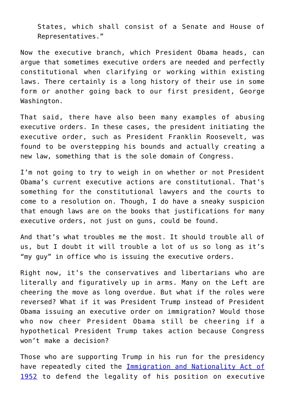States, which shall consist of a Senate and House of Representatives."

Now the executive branch, which President Obama heads, can argue that sometimes executive orders are needed and perfectly constitutional when clarifying or working within existing laws. There certainly is a long history of their use in some form or another going back to our first president, George Washington.

That said, there have also been many examples of abusing executive orders. In these cases, the president initiating the executive order, such as President Franklin Roosevelt, was found to be overstepping his bounds and actually creating a new law, something that is the sole domain of Congress.

I'm not going to try to weigh in on whether or not President Obama's current executive actions are constitutional. That's something for the constitutional lawyers and the courts to come to a resolution on. Though, I do have a sneaky suspicion that enough laws are on the books that justifications for many executive orders, not just on guns, could be found.

And that's what troubles me the most. It should trouble all of us, but I doubt it will trouble a lot of us so long as it's "my guy" in office who is issuing the executive orders.

Right now, it's the conservatives and libertarians who are literally and figuratively up in arms. Many on the Left are cheering the move as long overdue. But what if the roles were reversed? What if it was President Trump instead of President Obama issuing an executive order on immigration? Would those who now cheer President Obama still be cheering if a hypothetical President Trump takes action because Congress won't make a decision?

Those who are supporting Trump in his run for the presidency have repeatedly cited the **[Immigration and Nationality Act of](https://www.gpo.gov/fdsys/pkg/STATUTE-66/pdf/STATUTE-66-Pg163.pdf)** [1952](https://www.gpo.gov/fdsys/pkg/STATUTE-66/pdf/STATUTE-66-Pg163.pdf) to defend the legality of his position on executive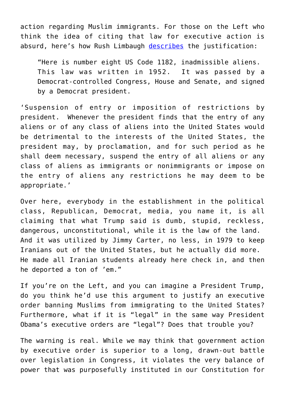action regarding Muslim immigrants. For those on the Left who think the idea of citing that law for executive action is absurd, here's how Rush Limbaugh [describes](http://www.rushlimbaugh.com/daily/2015/12/09/trump_s_nutty_proposal_is_already_the_law_of_the_land_and_was_used_by_jimmy_carter_during_the_hostage_crisis) the justification:

"Here is number eight US Code 1182, inadmissible aliens. This law was written in 1952. It was passed by a Democrat-controlled Congress, House and Senate, and signed by a Democrat president.

'Suspension of entry or imposition of restrictions by president. Whenever the president finds that the entry of any aliens or of any class of aliens into the United States would be detrimental to the interests of the United States, the president may, by proclamation, and for such period as he shall deem necessary, suspend the entry of all aliens or any class of aliens as immigrants or nonimmigrants or impose on the entry of aliens any restrictions he may deem to be appropriate.'

Over here, everybody in the establishment in the political class, Republican, Democrat, media, you name it, is all claiming that what Trump said is dumb, stupid, reckless, dangerous, unconstitutional, while it is the law of the land. And it was utilized by Jimmy Carter, no less, in 1979 to keep Iranians out of the United States, but he actually did more. He made all Iranian students already here check in, and then he deported a ton of 'em."

If you're on the Left, and you can imagine a President Trump, do you think he'd use this argument to justify an executive order banning Muslims from immigrating to the United States? Furthermore, what if it is "legal" in the same way President Obama's executive orders are "legal"? Does that trouble you?

The warning is real. While we may think that government action by executive order is superior to a long, drawn-out battle over legislation in Congress, it violates the very balance of power that was purposefully instituted in our Constitution for